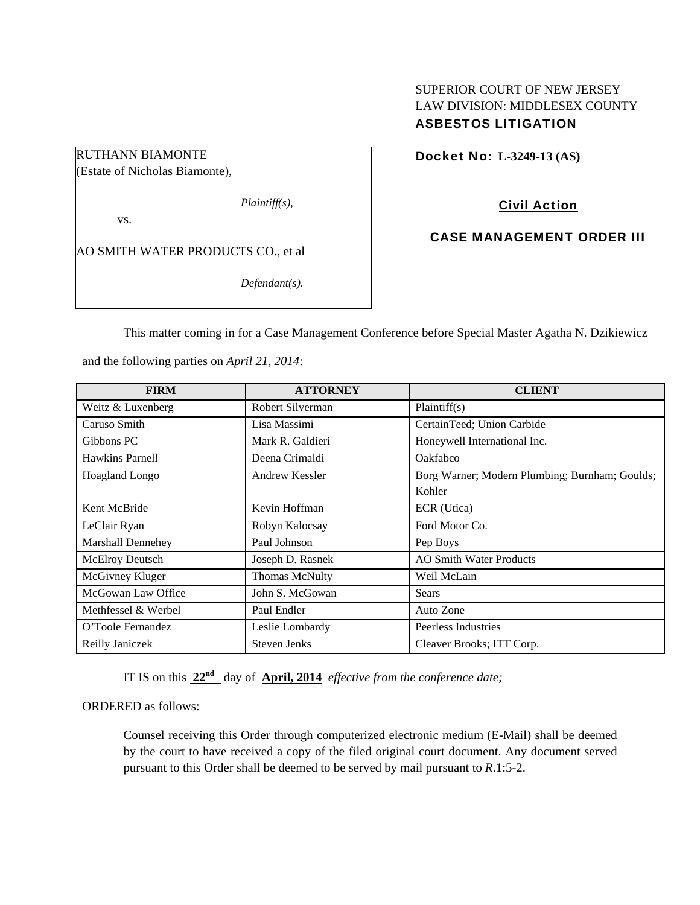## SUPERIOR COURT OF NEW JERSEY LAW DIVISION: MIDDLESEX COUNTY ASBESTOS LITIGATION

Docket No: **L-3249-13 (AS)** 

vs.

RUTHANN BIAMONTE (Estate of Nicholas Biamonte),

AO SMITH WATER PRODUCTS CO., et al

*Defendant(s).* 

*Plaintiff(s),* 

Civil Action

CASE MANAGEMENT ORDER III

This matter coming in for a Case Management Conference before Special Master Agatha N. Dzikiewicz

and the following parties on *April 21, 2014*:

| <b>FIRM</b>         | <b>ATTORNEY</b>       | <b>CLIENT</b>                                  |
|---------------------|-----------------------|------------------------------------------------|
| Weitz & Luxenberg   | Robert Silverman      | Plaintiff(s)                                   |
| Caruso Smith        | Lisa Massimi          | CertainTeed; Union Carbide                     |
| Gibbons PC          | Mark R. Galdieri      | Honeywell International Inc.                   |
| Hawkins Parnell     | Deena Crimaldi        | Oakfabco                                       |
| Hoagland Longo      | Andrew Kessler        | Borg Warner; Modern Plumbing; Burnham; Goulds; |
|                     |                       | Kohler                                         |
| Kent McBride        | Kevin Hoffman         | ECR (Utica)                                    |
| LeClair Ryan        | Robyn Kalocsay        | Ford Motor Co.                                 |
| Marshall Dennehey   | Paul Johnson          | Pep Boys                                       |
| McElroy Deutsch     | Joseph D. Rasnek      | <b>AO Smith Water Products</b>                 |
| McGivney Kluger     | <b>Thomas McNulty</b> | Weil McLain                                    |
| McGowan Law Office  | John S. McGowan       | <b>Sears</b>                                   |
| Methfessel & Werbel | Paul Endler           | Auto Zone                                      |
| O'Toole Fernandez   | Leslie Lombardy       | Peerless Industries                            |
| Reilly Janiczek     | <b>Steven Jenks</b>   | Cleaver Brooks; ITT Corp.                      |

IT IS on this **22nd** day of **April, 2014** *effective from the conference date;*

ORDERED as follows:

Counsel receiving this Order through computerized electronic medium (E-Mail) shall be deemed by the court to have received a copy of the filed original court document. Any document served pursuant to this Order shall be deemed to be served by mail pursuant to *R*.1:5-2.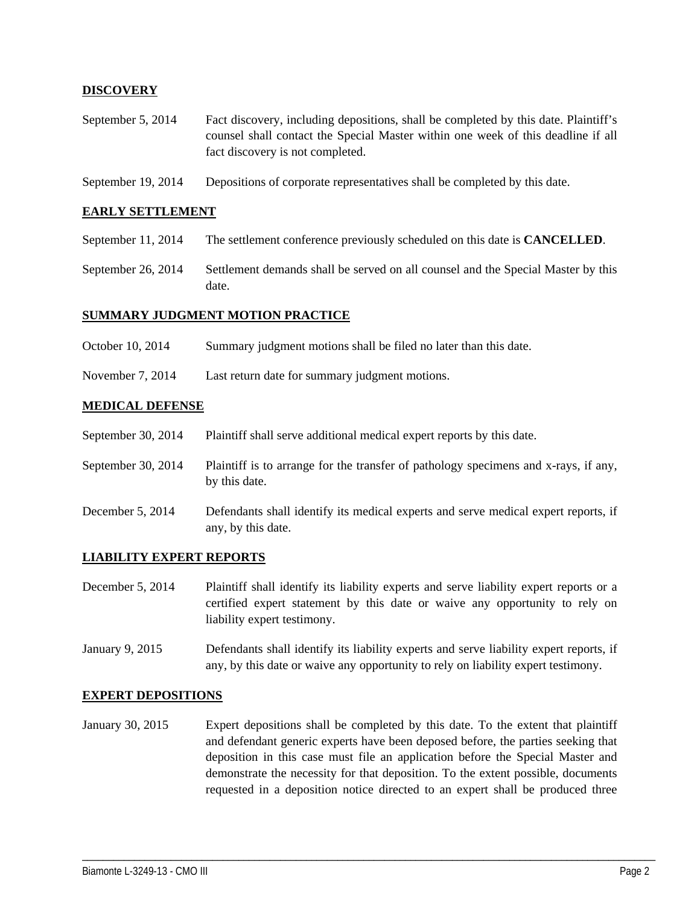## **DISCOVERY**

- September 5, 2014 Fact discovery, including depositions, shall be completed by this date. Plaintiff's counsel shall contact the Special Master within one week of this deadline if all fact discovery is not completed.
- September 19, 2014 Depositions of corporate representatives shall be completed by this date.

### **EARLY SETTLEMENT**

- September 11, 2014 The settlement conference previously scheduled on this date is **CANCELLED**.
- September 26, 2014 Settlement demands shall be served on all counsel and the Special Master by this date.

## **SUMMARY JUDGMENT MOTION PRACTICE**

- October 10, 2014 Summary judgment motions shall be filed no later than this date.
- November 7, 2014 Last return date for summary judgment motions.

#### **MEDICAL DEFENSE**

- September 30, 2014 Plaintiff shall serve additional medical expert reports by this date.
- September 30, 2014 Plaintiff is to arrange for the transfer of pathology specimens and x-rays, if any, by this date.
- December 5, 2014 Defendants shall identify its medical experts and serve medical expert reports, if any, by this date.

## **LIABILITY EXPERT REPORTS**

- December 5, 2014 Plaintiff shall identify its liability experts and serve liability expert reports or a certified expert statement by this date or waive any opportunity to rely on liability expert testimony.
- January 9, 2015 Defendants shall identify its liability experts and serve liability expert reports, if any, by this date or waive any opportunity to rely on liability expert testimony.

#### **EXPERT DEPOSITIONS**

January 30, 2015 Expert depositions shall be completed by this date. To the extent that plaintiff and defendant generic experts have been deposed before, the parties seeking that deposition in this case must file an application before the Special Master and demonstrate the necessity for that deposition. To the extent possible, documents requested in a deposition notice directed to an expert shall be produced three

\_\_\_\_\_\_\_\_\_\_\_\_\_\_\_\_\_\_\_\_\_\_\_\_\_\_\_\_\_\_\_\_\_\_\_\_\_\_\_\_\_\_\_\_\_\_\_\_\_\_\_\_\_\_\_\_\_\_\_\_\_\_\_\_\_\_\_\_\_\_\_\_\_\_\_\_\_\_\_\_\_\_\_\_\_\_\_\_\_\_\_\_\_\_\_\_\_\_\_\_\_\_\_\_\_\_\_\_\_\_